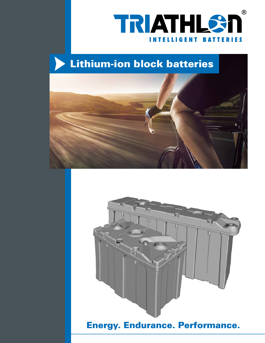

# Lithium-ion block batteries





### Energy. Endurance. Performance.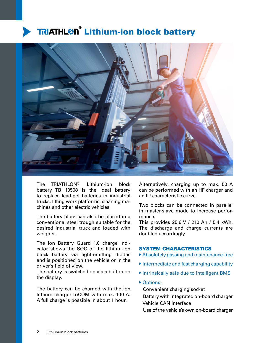## **TRIATHL<sup>®</sup> Lithium-ion block battery**



The TRIATHLON® Lithium-ion block battery TB 10508 is the ideal battery to replace lead-gel batteries in industrial trucks, lifting work platforms, cleaning machines and other electric vehicles.

The battery block can also be placed in a conventional steel trough suitable for the desired industrial truck and loaded with weights.

The ion Battery Guard 1.0 charge indicator shows the SOC of the lithium-ion block battery via light-emitting diodes and is positioned on the vehicle or in the driver's field of view.

The battery is switched on via a button on the display.

The battery can be charged with the ion lithium charger TriCOM with max. 100 A. A full charge is possible in about 1 hour.

Alternatively, charging up to max. 50 A can be performed with an HF charger and an IU characteristic curve.

Two blocks can be connected in parallel in master-slave mode to increase performance.

This provides 25.6 V / 210 Ah / 5.4 kWh. The discharge and charge currents are doubled accordingly.

### SYSTEM CHARACTERISTICS

- Absolutely gassing and maintenance-free
- Intermediate and fast charging capability
- Intrinsically safe due to intelligent BMS
- ▶ Options:
	- Convenient charging socket

 Battery with integrated on-board charger Vehicle CAN interface

Use of the vehicle's own on-board charger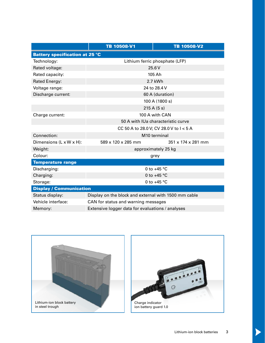|                                       | TB 10508-V1                                          | <b>TB 10508-V2</b> |
|---------------------------------------|------------------------------------------------------|--------------------|
| <b>Battery specification at 25 °C</b> |                                                      |                    |
| Technology:                           | Lithium ferric phosphate (LFP)                       |                    |
| Rated voltage:                        | 25.6V                                                |                    |
| Rated capacity:                       | 105 Ah                                               |                    |
| Rated Energy:                         | 2.7 kWh                                              |                    |
| Voltage range:                        | 24 to 28.4 V                                         |                    |
| Discharge current:                    | 60 A (duration)                                      |                    |
|                                       | 100 A (1800 s)                                       |                    |
|                                       | 215A(5s)                                             |                    |
| Charge current:                       | 100 A with CAN                                       |                    |
|                                       | 50 A with IUa characteristic curve                   |                    |
|                                       | CC 50 A to 28.0 V; CV 28.0 V to I < 5 A              |                    |
| Connection:                           | M <sub>10</sub> terminal                             |                    |
| Dimensions (L x W x H):               | 589 x 120 x 285 mm                                   | 351 x 174 x 281 mm |
| Weight:                               | approximately 25 kg                                  |                    |
| Colour:                               | grey                                                 |                    |
| <b>Temperature range</b>              |                                                      |                    |
| Discharging:                          | 0 to $+45$ °C                                        |                    |
| Charging:                             | 0 to $+45$ °C                                        |                    |
| Storage:                              | 0 to $+45$ °C                                        |                    |
| <b>Display / Communication</b>        |                                                      |                    |
| Status display:                       | Display on the block and external with 1500 mm cable |                    |
| Vehicle interface:                    | CAN for status and warning messages                  |                    |
| Memory:                               | Extensive logger data for evaluations / analyses     |                    |





 $\blacktriangleright$